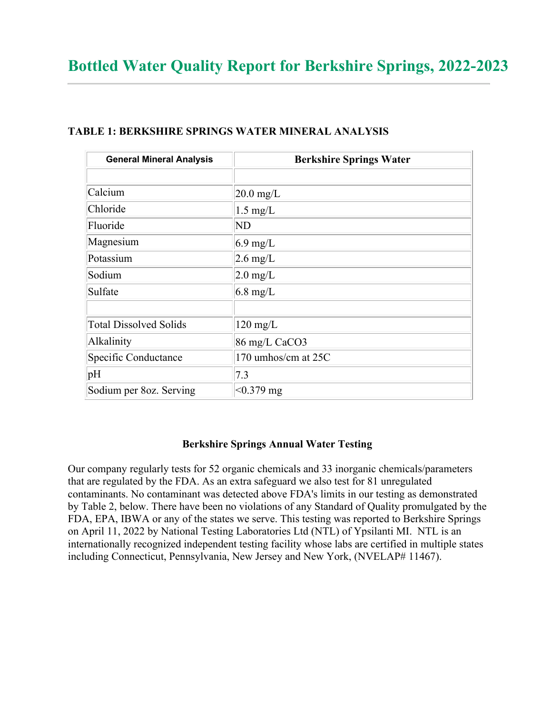| <b>General Mineral Analysis</b> | <b>Berkshire Springs Water</b> |
|---------------------------------|--------------------------------|
|                                 |                                |
| Calcium                         | $20.0$ mg/L                    |
| Chloride                        | $1.5 \text{ mg/L}$             |
| Fluoride                        | <b>ND</b>                      |
| Magnesium                       | $6.9 \text{ mg/L}$             |
| Potassium                       | $2.6 \text{ mg/L}$             |
| Sodium                          | $2.0 \text{ mg/L}$             |
| Sulfate                         | $6.8 \text{ mg/L}$             |
|                                 |                                |
| <b>Total Dissolved Solids</b>   | $120 \text{ mg/L}$             |
| Alkalinity                      | 86 mg/L CaCO3                  |
| Specific Conductance            | 170 umhos/cm at 25C            |
| pH                              | 7.3                            |
| Sodium per 8oz. Serving         | $< 0.379$ mg                   |

## **TABLE 1: BERKSHIRE SPRINGS WATER MINERAL ANALYSIS**

## **Berkshire Springs Annual Water Testing**

Our company regularly tests for 52 organic chemicals and 33 inorganic chemicals/parameters that are regulated by the FDA. As an extra safeguard we also test for 81 unregulated contaminants. No contaminant was detected above FDA's limits in our testing as demonstrated by Table 2, below. There have been no violations of any Standard of Quality promulgated by the FDA, EPA, IBWA or any of the states we serve. This testing was reported to Berkshire Springs on April 11, 2022 by National Testing Laboratories Ltd (NTL) of Ypsilanti MI. NTL is an internationally recognized independent testing facility whose labs are certified in multiple states including Connecticut, Pennsylvania, New Jersey and New York, (NVELAP# 11467).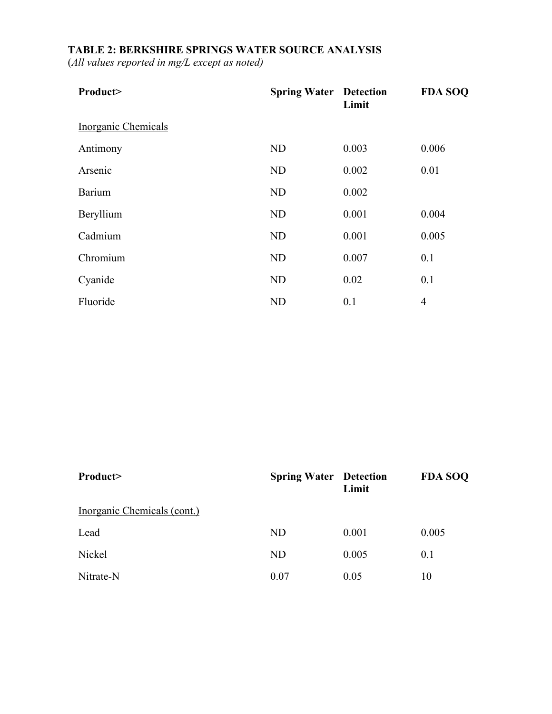## **TABLE 2: BERKSHIRE SPRINGS WATER SOURCE ANALYSIS**

(*All values reported in mg/L except as noted)*

| Product>                   | <b>Spring Water Detection</b> | Limit | <b>FDA SOQ</b> |
|----------------------------|-------------------------------|-------|----------------|
| <b>Inorganic Chemicals</b> |                               |       |                |
| Antimony                   | ND                            | 0.003 | 0.006          |
| Arsenic                    | ND                            | 0.002 | 0.01           |
| Barium                     | ND                            | 0.002 |                |
| Beryllium                  | ND                            | 0.001 | 0.004          |
| Cadmium                    | ND                            | 0.001 | 0.005          |
| Chromium                   | ND                            | 0.007 | 0.1            |
| Cyanide                    | ND                            | 0.02  | 0.1            |
| Fluoride                   | <b>ND</b>                     | 0.1   | $\overline{4}$ |

| Product>                    | <b>Spring Water Detection</b> | Limit | <b>FDA SOQ</b> |
|-----------------------------|-------------------------------|-------|----------------|
| Inorganic Chemicals (cont.) |                               |       |                |
| Lead                        | <b>ND</b>                     | 0.001 | 0.005          |
| Nickel                      | <b>ND</b>                     | 0.005 | 0.1            |
| Nitrate-N                   | 0.07                          | 0.05  | 10             |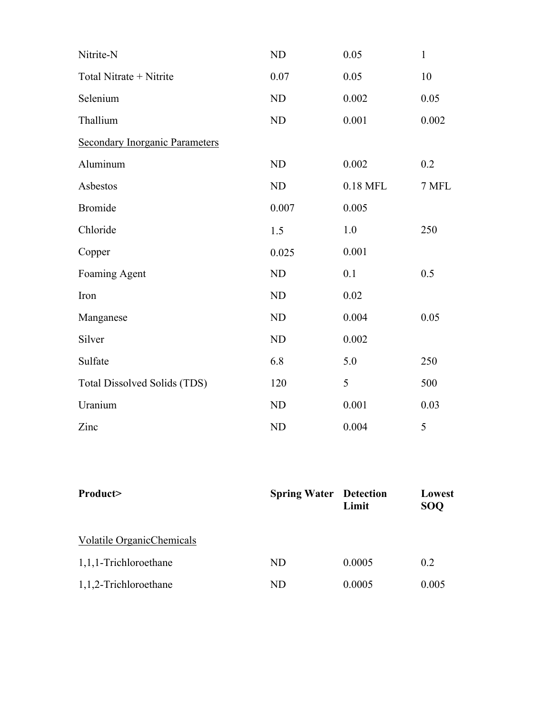| Nitrite-N                             | <b>ND</b> | 0.05     | $\mathbf{1}$ |
|---------------------------------------|-----------|----------|--------------|
| Total Nitrate + Nitrite               | 0.07      | 0.05     | 10           |
| Selenium                              | <b>ND</b> | 0.002    | 0.05         |
| Thallium                              | ND        | 0.001    | 0.002        |
| <b>Secondary Inorganic Parameters</b> |           |          |              |
| Aluminum                              | <b>ND</b> | 0.002    | 0.2          |
| Asbestos                              | ND        | 0.18 MFL | 7 MFL        |
| <b>Bromide</b>                        | 0.007     | 0.005    |              |
| Chloride                              | 1.5       | 1.0      | 250          |
| Copper                                | 0.025     | 0.001    |              |
| Foaming Agent                         | <b>ND</b> | 0.1      | 0.5          |
| Iron                                  | <b>ND</b> | 0.02     |              |
| Manganese                             | <b>ND</b> | 0.004    | 0.05         |
| Silver                                | <b>ND</b> | 0.002    |              |
| Sulfate                               | 6.8       | 5.0      | 250          |
| Total Dissolved Solids (TDS)          | 120       | 5        | 500          |
| Uranium                               | ND        | 0.001    | 0.03         |
| Zinc                                  | <b>ND</b> | 0.004    | 5            |

| Product>                  | <b>Spring Water Detection</b> | Limit  | Lowest<br><b>SOQ</b> |
|---------------------------|-------------------------------|--------|----------------------|
| Volatile OrganicChemicals |                               |        |                      |
| 1,1,1-Trichloroethane     | ND                            | 0.0005 | 0.2                  |
| 1,1,2-Trichloroethane     | ND                            | 0.0005 | 0.005                |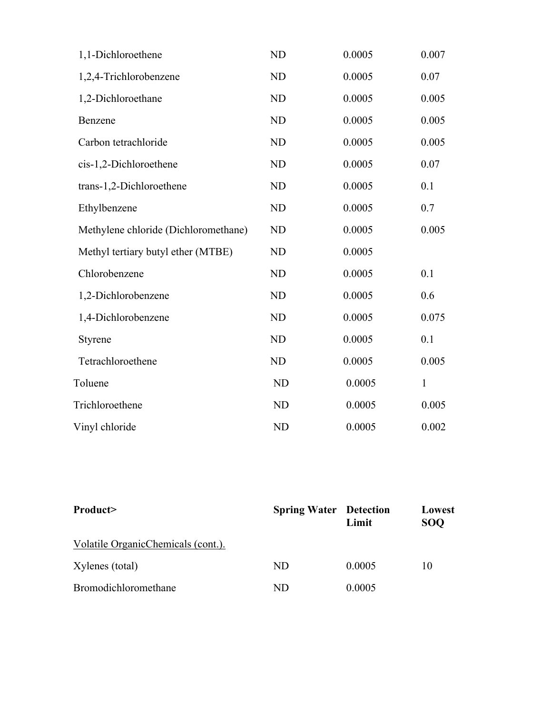| 1,1-Dichloroethene                   | ND        | 0.0005 | 0.007        |
|--------------------------------------|-----------|--------|--------------|
| 1,2,4-Trichlorobenzene               | ND        | 0.0005 | 0.07         |
| 1,2-Dichloroethane                   | ND        | 0.0005 | 0.005        |
| Benzene                              | ND        | 0.0005 | 0.005        |
| Carbon tetrachloride                 | ND        | 0.0005 | 0.005        |
| cis-1,2-Dichloroethene               | ND        | 0.0005 | 0.07         |
| trans-1,2-Dichloroethene             | <b>ND</b> | 0.0005 | 0.1          |
| Ethylbenzene                         | ND        | 0.0005 | 0.7          |
| Methylene chloride (Dichloromethane) | ND        | 0.0005 | 0.005        |
| Methyl tertiary butyl ether (MTBE)   | ND        | 0.0005 |              |
| Chlorobenzene                        | <b>ND</b> | 0.0005 | 0.1          |
| 1,2-Dichlorobenzene                  | <b>ND</b> | 0.0005 | 0.6          |
| 1,4-Dichlorobenzene                  | <b>ND</b> | 0.0005 | 0.075        |
| Styrene                              | <b>ND</b> | 0.0005 | 0.1          |
| Tetrachloroethene                    | <b>ND</b> | 0.0005 | 0.005        |
| Toluene                              | <b>ND</b> | 0.0005 | $\mathbf{1}$ |
| Trichloroethene                      | <b>ND</b> | 0.0005 | 0.005        |
| Vinyl chloride                       | <b>ND</b> | 0.0005 | 0.002        |

| Product>                           | <b>Spring Water Detection</b> | Limit  | Lowest<br><b>SOO</b> |
|------------------------------------|-------------------------------|--------|----------------------|
| Volatile OrganicChemicals (cont.). |                               |        |                      |
| Xylenes (total)                    | ND                            | 0.0005 | 10                   |
| Bromodichloromethane               | ND                            | 0.0005 |                      |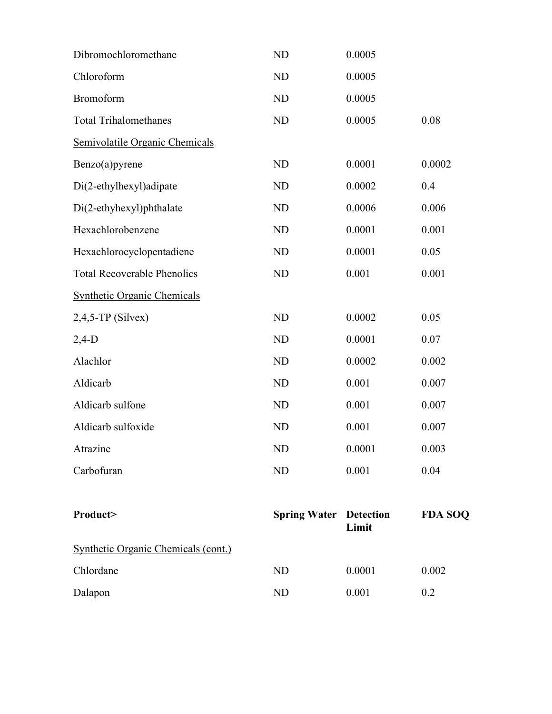| Dibromochloromethane                       | ND                            | 0.0005 |                |
|--------------------------------------------|-------------------------------|--------|----------------|
| Chloroform                                 | ND                            | 0.0005 |                |
| Bromoform                                  | ND                            | 0.0005 |                |
| <b>Total Trihalomethanes</b>               | ND                            | 0.0005 | 0.08           |
| Semivolatile Organic Chemicals             |                               |        |                |
| Benzo(a)pyrene                             | ND                            | 0.0001 | 0.0002         |
| Di(2-ethylhexyl)adipate                    | ND                            | 0.0002 | 0.4            |
| Di(2-ethyhexyl)phthalate                   | ND                            | 0.0006 | 0.006          |
| Hexachlorobenzene                          | ND                            | 0.0001 | 0.001          |
| Hexachlorocyclopentadiene                  | ND                            | 0.0001 | 0.05           |
| <b>Total Recoverable Phenolics</b>         | ND                            | 0.001  | 0.001          |
| <b>Synthetic Organic Chemicals</b>         |                               |        |                |
| $2,4,5$ -TP (Silvex)                       | ND                            | 0.0002 | 0.05           |
| $2,4-D$                                    | ND                            | 0.0001 | 0.07           |
| Alachlor                                   | ND                            | 0.0002 | 0.002          |
| Aldicarb                                   | <b>ND</b>                     | 0.001  | 0.007          |
| Aldicarb sulfone                           | <b>ND</b>                     | 0.001  | 0.007          |
| Aldicarb sulfoxide                         | <b>ND</b>                     | 0.001  | 0.007          |
| Atrazine                                   | ND                            | 0.0001 | 0.003          |
| Carbofuran                                 | ND                            | 0.001  | 0.04           |
| Product>                                   | <b>Spring Water Detection</b> | Limit  | <b>FDA SOQ</b> |
| <b>Synthetic Organic Chemicals (cont.)</b> |                               |        |                |
| Chlordane                                  | <b>ND</b>                     | 0.0001 | 0.002          |
| Dalapon                                    | ND                            | 0.001  | 0.2            |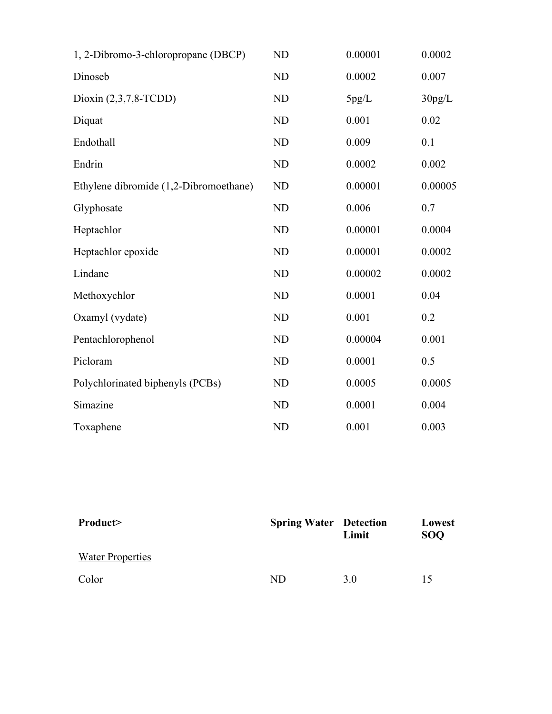| 1, 2-Dibromo-3-chloropropane (DBCP)    | <b>ND</b> | 0.00001 | 0.0002  |
|----------------------------------------|-----------|---------|---------|
| Dinoseb                                | ND        | 0.0002  | 0.007   |
| Dioxin $(2,3,7,8$ -TCDD)               | <b>ND</b> | 5pg/L   | 30pg/L  |
| Diquat                                 | <b>ND</b> | 0.001   | 0.02    |
| Endothall                              | <b>ND</b> | 0.009   | 0.1     |
| Endrin                                 | <b>ND</b> | 0.0002  | 0.002   |
| Ethylene dibromide (1,2-Dibromoethane) | ND        | 0.00001 | 0.00005 |
| Glyphosate                             | <b>ND</b> | 0.006   | 0.7     |
| Heptachlor                             | <b>ND</b> | 0.00001 | 0.0004  |
| Heptachlor epoxide                     | <b>ND</b> | 0.00001 | 0.0002  |
| Lindane                                | <b>ND</b> | 0.00002 | 0.0002  |
| Methoxychlor                           | <b>ND</b> | 0.0001  | 0.04    |
| Oxamyl (vydate)                        | <b>ND</b> | 0.001   | 0.2     |
| Pentachlorophenol                      | <b>ND</b> | 0.00004 | 0.001   |
| Picloram                               | <b>ND</b> | 0.0001  | 0.5     |
| Polychlorinated biphenyls (PCBs)       | <b>ND</b> | 0.0005  | 0.0005  |
| Simazine                               | <b>ND</b> | 0.0001  | 0.004   |
| Toxaphene                              | <b>ND</b> | 0.001   | 0.003   |

| Product>                | <b>Spring Water Detection</b> | Limit | Lowest<br><b>SOO</b> |
|-------------------------|-------------------------------|-------|----------------------|
| <b>Water Properties</b> |                               |       |                      |
| Color                   | ND                            | 3.0   | 15                   |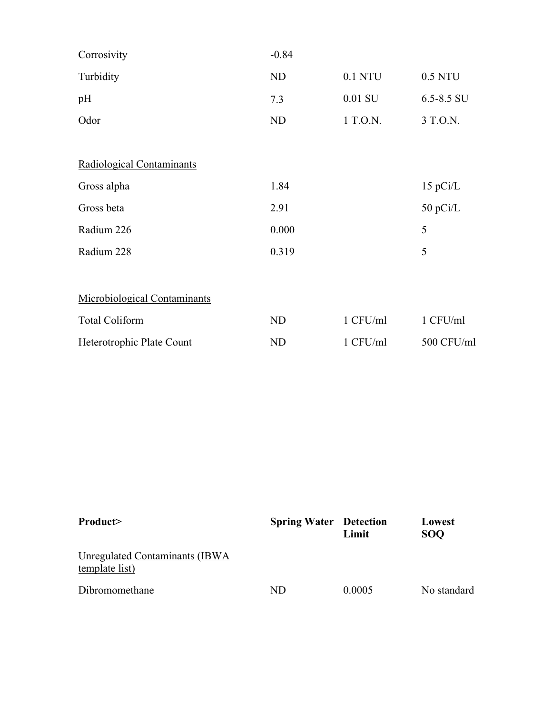| Corrosivity                  | $-0.84$ |           |            |
|------------------------------|---------|-----------|------------|
| Turbidity                    | ND      | 0.1 NTU   | 0.5 NTU    |
| pH                           | 7.3     | $0.01$ SU | 6.5-8.5 SU |
| Odor                         | ND      | 1 T.O.N.  | 3 T.O.N.   |
|                              |         |           |            |
| Radiological Contaminants    |         |           |            |
| Gross alpha                  | 1.84    |           | 15 pCi/L   |
| Gross beta                   | 2.91    |           | 50 pCi/L   |
| Radium 226                   | 0.000   |           | 5          |
| Radium 228                   | 0.319   |           | 5          |
|                              |         |           |            |
| Microbiological Contaminants |         |           |            |
| <b>Total Coliform</b>        | ND      | 1 CFU/ml  | 1 CFU/ml   |
| Heterotrophic Plate Count    | ND      | 1 CFU/ml  | 500 CFU/ml |

| Product>                                          | <b>Spring Water</b> Detection | Limit  | Lowest<br><b>SOO</b> |
|---------------------------------------------------|-------------------------------|--------|----------------------|
| Unregulated Contaminants (IBWA)<br>template list) |                               |        |                      |
| Dibromomethane                                    | ND                            | 0.0005 | No standard          |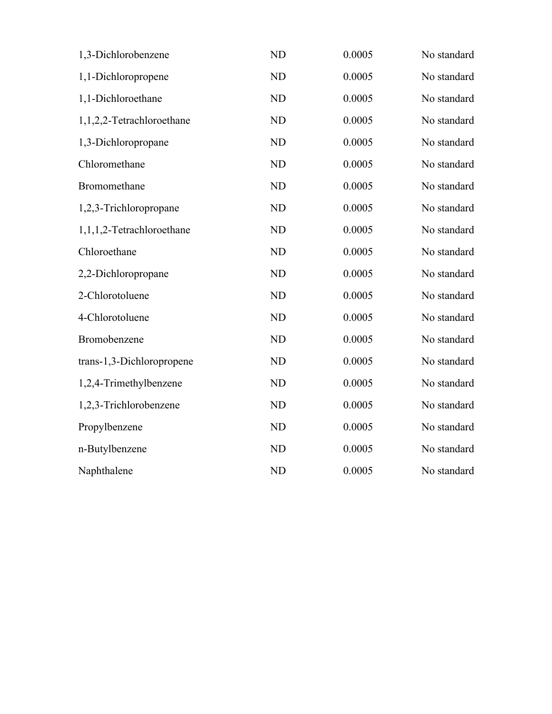| 1,3-Dichlorobenzene       | <b>ND</b> | 0.0005 | No standard |
|---------------------------|-----------|--------|-------------|
| 1,1-Dichloropropene       | ND        | 0.0005 | No standard |
| 1,1-Dichloroethane        | <b>ND</b> | 0.0005 | No standard |
| 1,1,2,2-Tetrachloroethane | <b>ND</b> | 0.0005 | No standard |
| 1,3-Dichloropropane       | <b>ND</b> | 0.0005 | No standard |
| Chloromethane             | <b>ND</b> | 0.0005 | No standard |
| Bromomethane              | <b>ND</b> | 0.0005 | No standard |
| 1,2,3-Trichloropropane    | <b>ND</b> | 0.0005 | No standard |
| 1,1,1,2-Tetrachloroethane | <b>ND</b> | 0.0005 | No standard |
| Chloroethane              | <b>ND</b> | 0.0005 | No standard |
| 2,2-Dichloropropane       | <b>ND</b> | 0.0005 | No standard |
| 2-Chlorotoluene           | <b>ND</b> | 0.0005 | No standard |
| 4-Chlorotoluene           | <b>ND</b> | 0.0005 | No standard |
| Bromobenzene              | <b>ND</b> | 0.0005 | No standard |
| trans-1,3-Dichloropropene | <b>ND</b> | 0.0005 | No standard |
| 1,2,4-Trimethylbenzene    | <b>ND</b> | 0.0005 | No standard |
| 1,2,3-Trichlorobenzene    | <b>ND</b> | 0.0005 | No standard |
| Propylbenzene             | <b>ND</b> | 0.0005 | No standard |
| n-Butylbenzene            | <b>ND</b> | 0.0005 | No standard |
| Naphthalene               | <b>ND</b> | 0.0005 | No standard |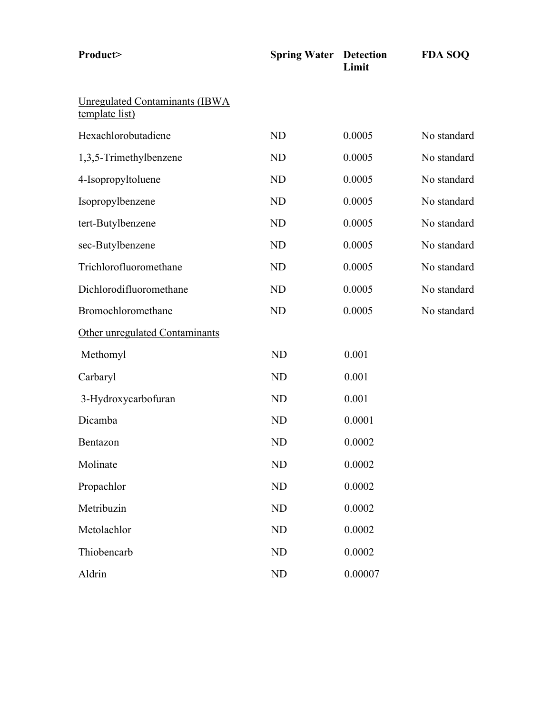| Product>                                         | <b>Spring Water Detection</b> | Limit   | <b>FDA SOQ</b> |
|--------------------------------------------------|-------------------------------|---------|----------------|
| Unregulated Contaminants (IBWA<br>template list) |                               |         |                |
| Hexachlorobutadiene                              | <b>ND</b>                     | 0.0005  | No standard    |
| 1,3,5-Trimethylbenzene                           | <b>ND</b>                     | 0.0005  | No standard    |
| 4-Isopropyltoluene                               | <b>ND</b>                     | 0.0005  | No standard    |
| Isopropylbenzene                                 | <b>ND</b>                     | 0.0005  | No standard    |
| tert-Butylbenzene                                | <b>ND</b>                     | 0.0005  | No standard    |
| sec-Butylbenzene                                 | <b>ND</b>                     | 0.0005  | No standard    |
| Trichlorofluoromethane                           | <b>ND</b>                     | 0.0005  | No standard    |
| Dichlorodifluoromethane                          | <b>ND</b>                     | 0.0005  | No standard    |
| Bromochloromethane                               | <b>ND</b>                     | 0.0005  | No standard    |
| Other unregulated Contaminants                   |                               |         |                |
| Methomyl                                         | N <sub>D</sub>                | 0.001   |                |
| Carbaryl                                         | <b>ND</b>                     | 0.001   |                |
| 3-Hydroxycarbofuran                              | <b>ND</b>                     | 0.001   |                |
| Dicamba                                          | <b>ND</b>                     | 0.0001  |                |
| Bentazon                                         | <b>ND</b>                     | 0.0002  |                |
| Molinate                                         | ND                            | 0.0002  |                |
| Propachlor                                       | ND                            | 0.0002  |                |
| Metribuzin                                       | <b>ND</b>                     | 0.0002  |                |
| Metolachlor                                      | <b>ND</b>                     | 0.0002  |                |
| Thiobencarb                                      | ND                            | 0.0002  |                |
| Aldrin                                           | ND                            | 0.00007 |                |